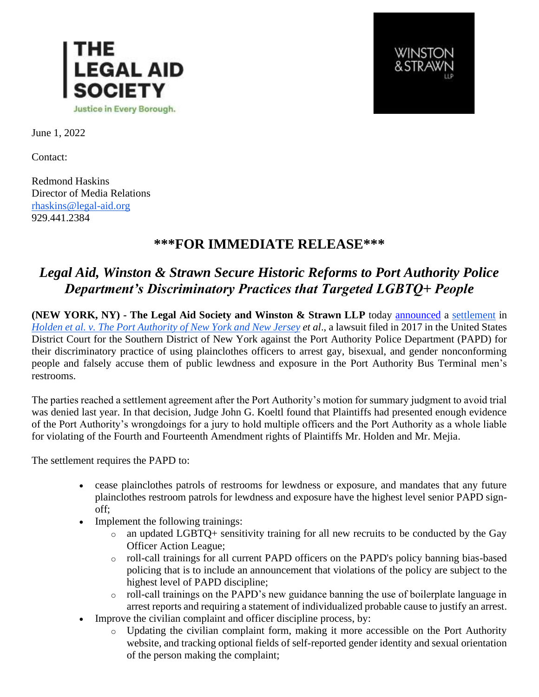



June 1, 2022

Contact:

Redmond Haskins Director of Media Relations [rhaskins@legal-aid.org](mailto:rhaskins@legal-aid.org) 929.441.2384

## **\*\*\*FOR IMMEDIATE RELEASE\*\*\***

## *Legal Aid, Winston & Strawn Secure Historic Reforms to Port Authority Police Department's Discriminatory Practices that Targeted LGBTQ+ People*

**(NEW YORK, NY) - The Legal Aid Society and Winston & Strawn LLP** today [announced](https://www.nytimes.com/2022/06/01/nyregion/port-authority-bathroom-patrols.html) a [settlement](https://legalaidnyc.org/wp-content/uploads/2022/05/ECF-281-1_Holden_Settlement-Agreement.pdf) in *[Holden et al. v. The Port Authority of New York and New Jersey](https://legalaidnyc.org/wp-content/uploads/2022/05/ECF-117_Holden_Second-Am-Complaint-and-Exhibits_11.28.2018.pdf) et al*., a lawsuit filed in 2017 in the United States District Court for the Southern District of New York against the Port Authority Police Department (PAPD) for their discriminatory practice of using plainclothes officers to arrest gay, bisexual, and gender nonconforming people and falsely accuse them of public lewdness and exposure in the Port Authority Bus Terminal men's restrooms.

The parties reached a settlement agreement after the Port Authority's motion for summary judgment to avoid trial was denied last year. In that decision, Judge John G. Koeltl found that Plaintiffs had presented enough evidence of the Port Authority's wrongdoings for a jury to hold multiple officers and the Port Authority as a whole liable for violating of the Fourth and Fourteenth Amendment rights of Plaintiffs Mr. Holden and Mr. Mejia.

The settlement requires the PAPD to:

- cease plainclothes patrols of restrooms for lewdness or exposure, and mandates that any future plainclothes restroom patrols for lewdness and exposure have the highest level senior PAPD signoff;
- Implement the following trainings:
	- o an updated LGBTQ+ sensitivity training for all new recruits to be conducted by the Gay Officer Action League;
	- o roll-call trainings for all current PAPD officers on the PAPD's policy banning bias-based policing that is to include an announcement that violations of the policy are subject to the highest level of PAPD discipline;
	- o roll-call trainings on the PAPD's new guidance banning the use of boilerplate language in arrest reports and requiring a statement of individualized probable cause to justify an arrest.
- Improve the civilian complaint and officer discipline process, by:
	- o Updating the civilian complaint form, making it more accessible on the Port Authority website, and tracking optional fields of self-reported gender identity and sexual orientation of the person making the complaint;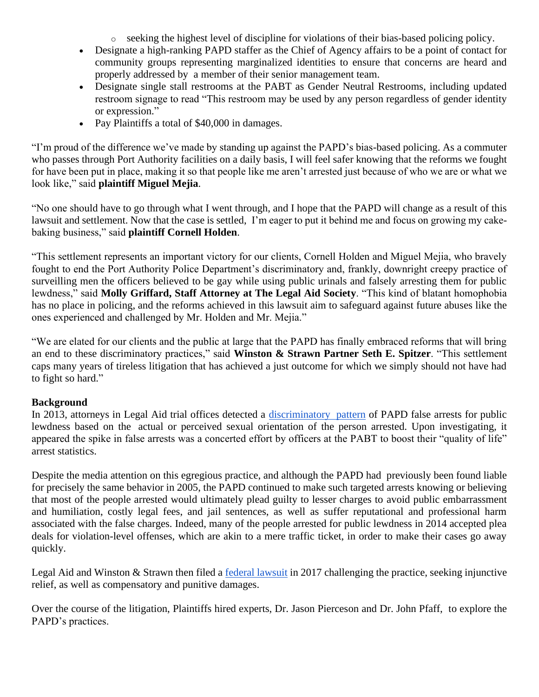$\circ$  seeking the highest level of discipline for violations of their bias-based policing policy.

- Designate a high-ranking PAPD staffer as the Chief of Agency affairs to be a point of contact for community groups representing marginalized identities to ensure that concerns are heard and properly addressed by a member of their senior management team.
- Designate single stall restrooms at the PABT as Gender Neutral Restrooms, including updated restroom signage to read "This restroom may be used by any person regardless of gender identity or expression."
- Pay Plaintiffs a total of \$40,000 in damages.

"I'm proud of the difference we've made by standing up against the PAPD's bias-based policing. As a commuter who passes through Port Authority facilities on a daily basis, I will feel safer knowing that the reforms we fought for have been put in place, making it so that people like me aren't arrested just because of who we are or what we look like," said **plaintiff Miguel Mejia**.

"No one should have to go through what I went through, and I hope that the PAPD will change as a result of this lawsuit and settlement. Now that the case is settled, I'm eager to put it behind me and focus on growing my cakebaking business," said **plaintiff Cornell Holden**.

"This settlement represents an important victory for our clients, Cornell Holden and Miguel Mejia, who bravely fought to end the Port Authority Police Department's discriminatory and, frankly, downright creepy practice of surveilling men the officers believed to be gay while using public urinals and falsely arresting them for public lewdness," said **Molly Griffard, Staff Attorney at The Legal Aid Society**. "This kind of blatant homophobia has no place in policing, and the reforms achieved in this lawsuit aim to safeguard against future abuses like the ones experienced and challenged by Mr. Holden and Mr. Mejia."

"We are elated for our clients and the public at large that the PAPD has finally embraced reforms that will bring an end to these discriminatory practices," said **Winston & Strawn Partner Seth E. Spitzer**. "This settlement caps many years of tireless litigation that has achieved a just outcome for which we simply should not have had to fight so hard."

## **Background**

In 2013, attorneys in Legal Aid trial offices detected a [discriminatory](https://www.nytimes.com/2014/10/08/nyregion/lawyers-challenge-lewdness-arrests-at-port-authority-bus-terminal.html) pattern of PAPD false arrests for public lewdness based on the actual or perceived sexual orientation of the person arrested. Upon investigating, it appeared the spike in false arrests was a concerted effort by officers at the PABT to boost their "quality of life" arrest statistics.

Despite the media attention on this egregious practice, and although the PAPD had previously been found liable for precisely the same behavior in 2005, the PAPD continued to make such targeted arrests knowing or believing that most of the people arrested would ultimately plead guilty to lesser charges to avoid public embarrassment and humiliation, costly legal fees, and jail sentences, as well as suffer reputational and professional harm associated with the false charges. Indeed, many of the people arrested for public lewdness in 2014 accepted plea deals for violation-level offenses, which are akin to a mere traffic ticket, in order to make their cases go away quickly.

Legal Aid and Winston & Strawn then filed a [federal lawsuit](https://www.wsj.com/articles/port-authority-bathroom-arrests-spur-lawsuit-1490648449) in 2017 challenging the practice, seeking injunctive relief, as well as compensatory and punitive damages.

Over the course of the litigation, Plaintiffs hired experts, Dr. Jason Pierceson and Dr. John Pfaff, to explore the PAPD's practices.